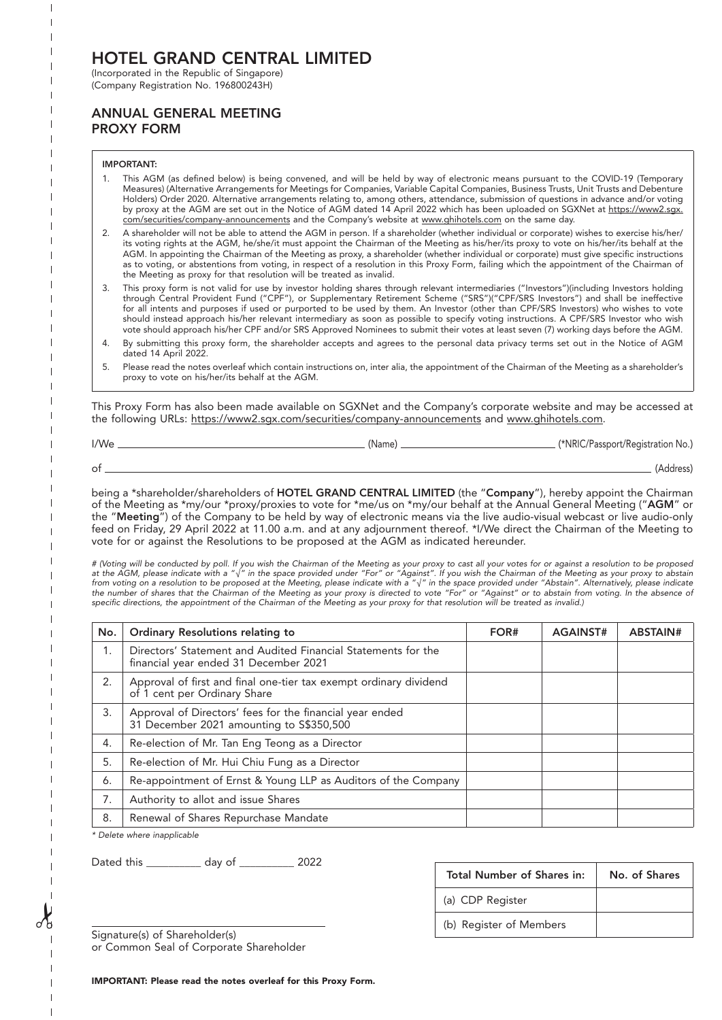# HOTEL GRAND CENTRAL LIMITED

(Incorporated in the Republic of Singapore) (Company Registration No. 196800243H)

### ANNUAL GENERAL MEETING PROXY FORM

### IMPORTANT:

- 1. This AGM (as defined below) is being convened, and will be held by way of electronic means pursuant to the COVID-19 (Temporary Measures) (Alternative Arrangements for Meetings for Companies, Variable Capital Companies, Business Trusts, Unit Trusts and Debenture Holders) Order 2020. Alternative arrangements relating to, among others, attendance, submission of questions in advance and/or voting by proxy at the AGM are set out in the Notice of AGM dated 14 April 2022 which has been uploaded on SGXNet at https://www2.sgx. com/securities/company-announcements and the Company's website at www.ghihotels.com on the same day.
- 2. A shareholder will not be able to attend the AGM in person. If a shareholder (whether individual or corporate) wishes to exercise his/her/ its voting rights at the AGM, he/she/it must appoint the Chairman of the Meeting as his/her/its proxy to vote on his/her/its behalf at the AGM. In appointing the Chairman of the Meeting as proxy, a shareholder (whether individual or corporate) must give specific instructions as to voting, or abstentions from voting, in respect of a resolution in this Proxy Form, failing which the appointment of the Chairman of the Meeting as proxy for that resolution will be treated as invalid.
- 3. This proxy form is not valid for use by investor holding shares through relevant intermediaries ("Investors")(including Investors holding through Central Provident Fund ("CPF"), or Supplementary Retirement Scheme ("SRS")("CPF/SRS Investors") and shall be ineffective for all intents and purposes if used or purported to be used by them. An Investor (other than CPF/SRS Investors) who wishes to vote should instead approach his/her relevant intermediary as soon as possible to specify voting instructions. A CPF/SRS Investor who wish vote should approach his/her CPF and/or SRS Approved Nominees to submit their votes at least seven (7) working days before the AGM.
- 4. By submitting this proxy form, the shareholder accepts and agrees to the personal data privacy terms set out in the Notice of AGM dated 14 April 2022.
- 5. Please read the notes overleaf which contain instructions on, inter alia, the appointment of the Chairman of the Meeting as a shareholder's proxy to vote on his/her/its behalf at the AGM.

This Proxy Form has also been made available on SGXNet and the Company's corporate website and may be accessed at the following URLs: https://www2.sgx.com/securities/company-announcements and www.ghihotels.com.

| I/We | (Name, | (*NRIC/Passport/Registration No.) |
|------|--------|-----------------------------------|
| ot   |        | (Address)                         |

being a \*shareholder/shareholders of HOTEL GRAND CENTRAL LIMITED (the "Company"), hereby appoint the Chairman of the Meeting as \*my/our \*proxy/proxies to vote for \*me/us on \*my/our behalf at the Annual General Meeting ("AGM" or the "Meeting") of the Company to be held by way of electronic means via the live audio-visual webcast or live audio-only feed on Friday, 29 April 2022 at 11.00 a.m. and at any adjournment thereof. \*I/We direct the Chairman of the Meeting to vote for or against the Resolutions to be proposed at the AGM as indicated hereunder.

*# (Voting will be conducted by poll. If you wish the Chairman of the Meeting as your proxy to cast all your votes for or against a resolution to be proposed at the AGM, please indicate with a "√" in the space provided under "For" or "Against". If you wish the Chairman of the Meeting as your proxy to abstain from voting on a resolution to be proposed at the Meeting, please indicate with a "√" in the space provided under "Abstain". Alternatively, please indicate the number of shares that the Chairman of the Meeting as your proxy is directed to vote "For" or "Against" or to abstain from voting. In the absence of specific directions, the appointment of the Chairman of the Meeting as your proxy for that resolution will be treated as invalid.)*

| No. | Ordinary Resolutions relating to                                                                       | FOR# | <b>AGAINST#</b> | ABSTAIN# |
|-----|--------------------------------------------------------------------------------------------------------|------|-----------------|----------|
| 1.  | Directors' Statement and Audited Financial Statements for the<br>financial year ended 31 December 2021 |      |                 |          |
| 2.  | Approval of first and final one-tier tax exempt ordinary dividend<br>of 1 cent per Ordinary Share      |      |                 |          |
| 3.  | Approval of Directors' fees for the financial year ended<br>31 December 2021 amounting to S\$350,500   |      |                 |          |
| 4.  | Re-election of Mr. Tan Eng Teong as a Director                                                         |      |                 |          |
| 5.  | Re-election of Mr. Hui Chiu Fung as a Director                                                         |      |                 |          |
| 6.  | Re-appointment of Ernst & Young LLP as Auditors of the Company                                         |      |                 |          |
| 7.  | Authority to allot and issue Shares                                                                    |      |                 |          |
| 8.  | Renewal of Shares Repurchase Mandate                                                                   |      |                 |          |

*\* Delete where inapplicable*

Dated this \_\_\_\_\_\_\_\_\_\_ day of \_\_\_\_\_\_\_\_\_\_ 2022

|   | Daled this<br>uav oi<br>ZUZZ                              | Total Number of Shares in: | No. of Shares |
|---|-----------------------------------------------------------|----------------------------|---------------|
|   |                                                           | (a) CDP Register           |               |
| ഗ | $C^*$ and $A$ and $A$ and $C$ $C$ is a set of $A$ and $A$ | b) Register of Members     |               |

Signature(s) of Shareholder(s) or Common Seal of Corporate Shareholder

IMPORTANT: Please read the notes overleaf for this Proxy Form.